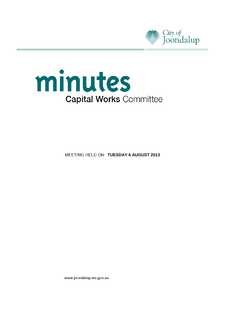



**MEETING HELD ON TUESDAY 6 AUGUST 2013** 

www.joondalup.wa.gov.au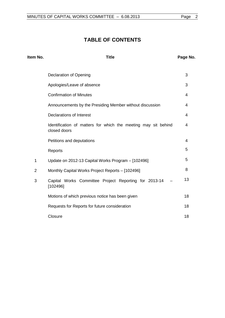# **TABLE OF CONTENTS**

| Item No.       | <b>Title</b>                                                                   | Page No. |
|----------------|--------------------------------------------------------------------------------|----------|
|                | <b>Declaration of Opening</b>                                                  | 3        |
|                | Apologies/Leave of absence                                                     | 3        |
|                | <b>Confirmation of Minutes</b>                                                 | 4        |
|                | Announcements by the Presiding Member without discussion                       | 4        |
|                | Declarations of Interest                                                       | 4        |
|                | Identification of matters for which the meeting may sit behind<br>closed doors | 4        |
|                | Petitions and deputations                                                      | 4        |
|                | Reports                                                                        | 5        |
| $\mathbf{1}$   | Update on 2012-13 Capital Works Program - [102496]                             | 5        |
| $\overline{2}$ | Monthly Capital Works Project Reports - [102496]                               | 8        |
| 3              | Capital Works Committee Project Reporting for 2013-14<br>[102496]              | 13       |
|                | Motions of which previous notice has been given                                | 18       |
|                | Requests for Reports for future consideration                                  | 18       |
|                | Closure                                                                        | 18       |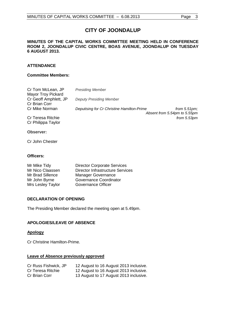# **CITY OF JOONDALUP**

## **MINUTES OF THE CAPITAL WORKS COMMITTEE MEETING HELD IN CONFERENCE ROOM 2, JOONDALUP CIVIC CENTRE, BOAS AVENUE, JOONDALUP ON TUESDAY 6 AUGUST 2013.**

## **ATTENDANCE**

## **Committee Members:**

| Cr Tom McLean, JP<br><b>Mayor Troy Pickard</b> | <b>Presiding Member</b>                                                                       |
|------------------------------------------------|-----------------------------------------------------------------------------------------------|
| Cr Geoff Amphlett, JP<br><b>Cr Brian Corr</b>  | <b>Deputy Presiding Member</b>                                                                |
| Cr Mike Norman                                 | Deputising for Cr Christine Hamilton-Prime<br>from $5.51$ pm;<br>Absent from 5.54pm to 5.55pm |
| Cr Teresa Ritchie<br>Cr Philippa Taylor        | from 5.53pm                                                                                   |
| Observer:                                      |                                                                                               |

Cr John Chester

## **Officers:**

| <b>Director Corporate Services</b>      |
|-----------------------------------------|
| <b>Director Infrastructure Services</b> |
| <b>Manager Governance</b>               |
| Governance Coordinator                  |
| Governance Officer                      |
|                                         |

## <span id="page-2-0"></span>**DECLARATION OF OPENING**

The Presiding Member declared the meeting open at 5.49pm.

## <span id="page-2-1"></span>**APOLOGIES/LEAVE OF ABSENCE**

## **Apology**

Cr Christine Hamilton-Prime.

## **Leave of Absence previously approved**

| Cr Russ Fishwick, JP | 12 August to 16 August 2013 inclusive. |
|----------------------|----------------------------------------|
| Cr Teresa Ritchie    | 12 August to 16 August 2013 inclusive. |
| Cr Brian Corr        | 13 August to 17 August 2013 inclusive. |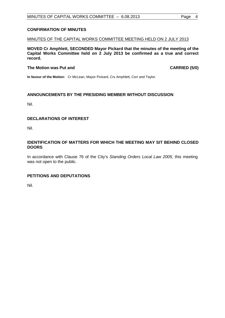## <span id="page-3-0"></span>**CONFIRMATION OF MINUTES**

## MINUTES OF THE CAPITAL WORKS COMMITTEE MEETING HELD ON 2 JULY 2013

**MOVED Cr Amphlett, SECONDED Mayor Pickard that the minutes of the meeting of the Capital Works Committee held on 2 July 2013 be confirmed as a true and correct record.**

## **The Motion was Put and CARRIED (5/0)**

**In favour of the Motion:** Cr McLean, Mayor Pickard, Crs Amphlett, Corr and Taylor.

## <span id="page-3-1"></span>**ANNOUNCEMENTS BY THE PRESIDING MEMBER WITHOUT DISCUSSION**

Nil.

## <span id="page-3-2"></span>**DECLARATIONS OF INTEREST**

Nil.

## <span id="page-3-3"></span>**IDENTIFICATION OF MATTERS FOR WHICH THE MEETING MAY SIT BEHIND CLOSED DOORS**

In accordance with Clause 76 of the City's *Standing Orders Local Law 2005*, this meeting was not open to the public.

## <span id="page-3-4"></span>**PETITIONS AND DEPUTATIONS**

Nil.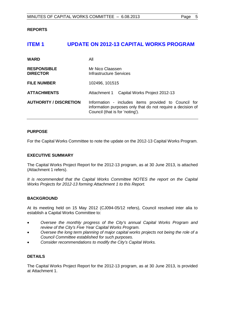## <span id="page-4-0"></span>**REPORTS**

## <span id="page-4-1"></span>**ITEM 1 UPDATE ON 2012-13 CAPITAL WORKS PROGRAM**

| <b>WARD</b>                           | All                                                                                                                                                    |
|---------------------------------------|--------------------------------------------------------------------------------------------------------------------------------------------------------|
| <b>RESPONSIBLE</b><br><b>DIRECTOR</b> | Mr Nico Claassen<br>Infrastructure Services                                                                                                            |
| <b>FILE NUMBER</b>                    | 102496, 101515                                                                                                                                         |
| <b>ATTACHMENTS</b>                    | Attachment 1 Capital Works Project 2012-13                                                                                                             |
| <b>AUTHORITY / DISCRETION</b>         | Information - includes items provided to Council for<br>information purposes only that do not require a decision of<br>Council (that is for 'noting'). |

## **PURPOSE**

For the Capital Works Committee to note the update on the 2012-13 Capital Works Program.

## **EXECUTIVE SUMMARY**

The Capital Works Project Report for the 2012-13 program, as at 30 June 2013, is attached (Attachment 1 refers).

*It is recommended that the Capital Works Committee NOTES the report on the Capital Works Projects for 2012-13 forming Attachment 1 to this Report.*

## **BACKGROUND**

At its meeting held on 15 May 2012 (CJ094-05/12 refers), Council resolved inter alia to establish a Capital Works Committee to:

- *Oversee the monthly progress of the City's annual Capital Works Program and review of the City's Five Year Capital Works Program.*
- *Oversee the long term planning of major capital works projects not being the role of a Council Committee established for such purposes.*
- *Consider recommendations to modify the City's Capital Works.*

## **DETAILS**

The Capital Works Project Report for the 2012-13 program, as at 30 June 2013, is provided at Attachment 1.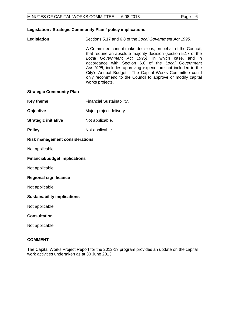## **Legislation / Strategic Community Plan / policy implications**

**Legislation** Sections 5.17 and 6.8 of the *Local Government Act 1995.*

A Committee cannot make decisions, on behalf of the Council, that require an absolute majority decision (section 5.17 of the *Local Government Act 1995)*, in which case, and in accordance with Section 6.8 of the *Local Government Act 1995,* includes approving expenditure not included in the City's Annual Budget. The Capital Works Committee could only recommend to the Council to approve or modify capital works projects.

#### **Strategic Community Plan**

- **Key theme** Financial Sustainability.
- **Objective** Major project delivery.
- **Strategic initiative** Not applicable.
- **Policy** Not applicable.

## **Risk management considerations**

Not applicable.

#### **Financial/budget implications**

Not applicable.

## **Regional significance**

Not applicable.

#### **Sustainability implications**

Not applicable.

## **Consultation**

Not applicable.

#### **COMMENT**

The Capital Works Project Report for the 2012-13 program provides an update on the capital work activities undertaken as at 30 June 2013.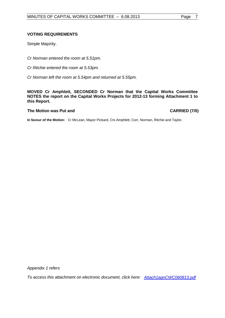## **VOTING REQUIREMENTS**

Simple Majority.

*Cr Norman entered the room at 5.51pm.*

*Cr Ritchie entered the room at 5.53pm.*

*Cr Norman left the room at 5.54pm and returned at 5.55pm.*

**MOVED Cr Amphlett, SECONDED Cr Norman that the Capital Works Committee NOTES the report on the Capital Works Projects for 2012-13 forming Attachment 1 to this Report.**

#### **The Motion was Put and CARRIED (7/0)**

**In favour of the Motion:** Cr McLean, Mayor Pickard, Crs Amphlett, Corr, Norman, Ritchie and Taylor.

*Appendix 1 refers*

*[To access this attachment on electronic document, click here: Attach1agnCWC060813.pdf](http://www.joondalup.wa.gov.au/files/committees/CWOC/2013/Attach1agnCWC060813.pdf)*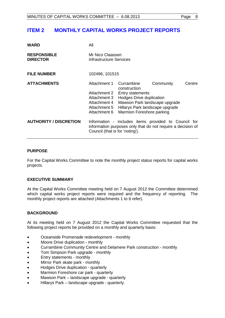# <span id="page-7-0"></span>**ITEM 2 MONTHLY CAPITAL WORKS PROJECT REPORTS**

| <b>WARD</b>                           | All                                                                                          |                                                                                                                                                                                           |           |        |
|---------------------------------------|----------------------------------------------------------------------------------------------|-------------------------------------------------------------------------------------------------------------------------------------------------------------------------------------------|-----------|--------|
| <b>RESPONSIBLE</b><br><b>DIRECTOR</b> | Mr Nico Claassen<br>Infrastructure Services                                                  |                                                                                                                                                                                           |           |        |
| <b>FILE NUMBER</b>                    | 102496, 101515                                                                               |                                                                                                                                                                                           |           |        |
| <b>ATTACHMENTS</b>                    | Attachment 1<br>Attachment 2<br>Attachment 3<br>Attachment 4<br>Attachment 5<br>Attachment 6 | Currambine<br>construction<br><b>Entry statements</b><br><b>Hodges Drive duplication</b><br>Mawson Park landscape upgrade<br>Hillarys Park landscape upgrade<br>Marmion Foreshore parking | Community | Centre |
| <b>AUTHORITY / DISCRETION</b>         | Council (that is for 'noting').                                                              | Information - includes items provided to Council for<br>information purposes only that do not require a decision of                                                                       |           |        |

## **PURPOSE**

For the Capital Works Committee to note the monthly project status reports for capital works projects.

## **EXECUTIVE SUMMARY**

At the Capital Works Committee meeting held on 7 August 2012 the Committee determined which capital works project reports were required and the frequency of reporting. The monthly project reports are attached (Attachments 1 to 6 refer).

## **BACKGROUND**

At its meeting held on 7 August 2012 the Capital Works Committee requested that the following project reports be provided on a monthly and quarterly basis:

- Oceanside Promenade redevelopment monthly
- Moore Drive duplication monthly
- Currambine Community Centre and Delamere Park construction monthly
- Tom Simpson Park upgrade monthly
- Entry statements monthly
- Mirror Park skate park monthly
- Hodges Drive duplication quarterly
- Marmion Foreshore car park quarterly
- Mawson Park landscape upgrade quarterly
- Hillarys Park landscape upgrade quarterly.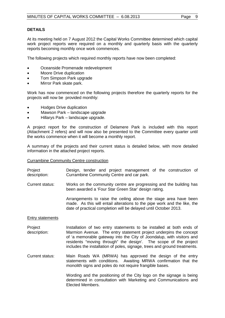## **DETAILS**

At its meeting held on 7 August 2012 the Capital Works Committee determined which capital work project reports were required on a monthly and quarterly basis with the quarterly reports becoming monthly once work commences.

The following projects which required monthly reports have now been completed:

- Oceanside Promenade redevelopment
- Moore Drive duplication
- Tom Simpson Park upgrade
- Mirror Park skate park.

Work has now commenced on the following projects therefore the quarterly reports for the projects will now be provided monthly:

- Hodges Drive duplication
- Mawson Park landscape upgrade
- Hillarys Park landscape upgrade.

A project report for the construction of Delamere Park is included with this report (Attachment 2 refers) and will now also be presented to the Committee every quarter until the works commence when it will become a monthly report.

A summary of the projects and their current status is detailed below, with more detailed information in the attached project reports.

Currambine Community Centre construction

- Project description: Design, tender and project management of the construction of Currambine Community Centre and car park.
- Current status: Works on the community centre are progressing and the building has been awarded a 'Four Star Green Star' design rating.

Arrangements to raise the ceiling above the stage area have been made. As this will entail alterations to the pipe work and the like, the date of practical completion will be delayed until October 2013.

## Entry statements

- Project description: Installation of two entry statements to be installed at both ends of Marmion Avenue. The entry statement project underpins the concept of 'a memorable gateway into the City of Joondalup, with visitors and residents "moving through" the design'. The scope of the project includes the installation of poles, signage, trees and ground treatments.
- Current status: Main Roads WA (MRWA) has approved the design of the entry statements with conditions. Awaiting MRWA confirmation that the monolith signs and poles do not require frangible bases.

Wording and the positioning of the City logo on the signage is being determined in consultation with Marketing and Communications and Elected Members.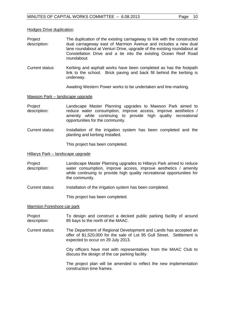#### Hodges Drive duplication

- Project description: The duplication of the existing carriageway to link with the constructed dual carriageway east of Marmion Avenue and includes a new dual lane roundabout at Venturi Drive, upgrade of the existing roundabout at Constellation Drive and a tie into the existing Ocean Reef Road roundabout.
- Current status: Kerbing and asphalt works have been completed as has the footpath link to the school. Brick paving and back fill behind the kerbing is underway.

Awaiting Western Power works to be undertaken and line-marking.

#### Mawson Park – landscape upgrade

- **Project** description: Landscape Master Planning upgrades to Mawson Park aimed to reduce water consumption, improve access, improve aesthetics / amenity while continuing to provide high quality recreational opportunities for the community.
- Current status: Installation of the irrigation system has been completed and the planting and kerbing installed.

This project has been completed.

#### Hillarys Park – landscape upgrade

Project description: Landscape Master Planning upgrades to Hillarys Park aimed to reduce water consumption, improve access, improve aesthetics / amenity while continuing to provide high quality recreational opportunities for the community.

Current status: Installation of the irrigation system has been completed.

This project has been completed.

#### Marmion Foreshore car park

Project description: To design and construct a decked public parking facility of around 85 bays to the north of the MAAC.

Current status: The Department of Regional Development and Lands has accepted an offer of \$1,520,000 for the sale of Lot 95 Gull Street. Settlement is expected to occur on 29 July 2013.

> City officers have met with representatives from the MAAC Club to discuss the design of the car parking facility.

> The project plan will be amended to reflect the new implementation construction time frames.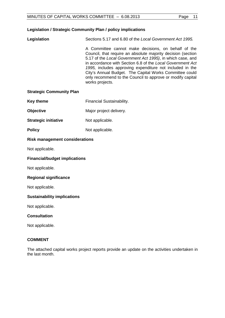## **Legislation / Strategic Community Plan / policy implications**

**Legislation** Sections 5.17 and 6.80 of the *Local Government Act 1995.*  A Committee cannot make decisions, on behalf of the Council, that require an absolute majority decision (section 5.17 of the *Local Government Act 1995)*, in which case, and in accordance with Section 6.8 of the *Local Government Act 1995,* includes approving expenditure not included in the City's Annual Budget. The Capital Works Committee could only recommend to the Council to approve or modify capital works projects.

## **Strategic Community Plan**

- **Key theme** Financial Sustainability.
- **Objective** Major project delivery.
- **Strategic initiative** Not applicable.
- **Policy** Not applicable.

## **Risk management considerations**

Not applicable.

## **Financial/budget implications**

Not applicable.

## **Regional significance**

Not applicable.

## **Sustainability implications**

Not applicable.

## **Consultation**

Not applicable.

## **COMMENT**

The attached capital works project reports provide an update on the activities undertaken in the last month.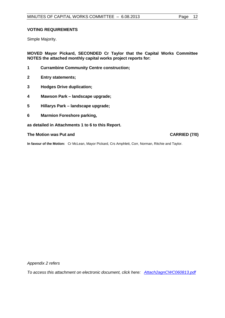## **VOTING REQUIREMENTS**

Simple Majority.

**MOVED Mayor Pickard, SECONDED Cr Taylor that the Capital Works Committee NOTES the attached monthly capital works project reports for:**

- **1 Currambine Community Centre construction;**
- **2 Entry statements;**
- **3 Hodges Drive duplication;**
- **4 Mawson Park – landscape upgrade;**
- **5 Hillarys Park – landscape upgrade;**
- **6 Marmion Foreshore parking,**

**as detailed in Attachments 1 to 6 to this Report.**

**The Motion was Put and CARRIED (7/0)** 

**In favour of the Motion:** Cr McLean, Mayor Pickard, Crs Amphlett, Corr, Norman, Ritchie and Taylor.

*Appendix 2 refers*

*[To access this attachment on electronic document, click here: Attach2agnCWC060813.pdf](http://www.joondalup.wa.gov.au/files/committees/CWOC/2013/Attach2agnCWC060813.pdf)*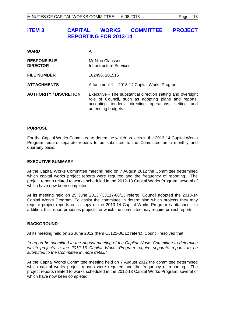# <span id="page-12-0"></span>**ITEM 3 CAPITAL WORKS COMMITTEE PROJECT REPORTING FOR 2013-14**

| <b>WARD</b>                           | All                                                                                                                                                                                              |  |
|---------------------------------------|--------------------------------------------------------------------------------------------------------------------------------------------------------------------------------------------------|--|
| <b>RESPONSIBLE</b><br><b>DIRECTOR</b> | Mr Nico Claassen<br>Infrastructure Services                                                                                                                                                      |  |
| <b>FILE NUMBER</b>                    | 102496, 101515                                                                                                                                                                                   |  |
| <b>ATTACHMENTS</b>                    | Attachment 1 2013-14 Capital Works Program                                                                                                                                                       |  |
| <b>AUTHORITY / DISCRETION</b>         | Executive - The substantial direction setting and oversight<br>role of Council, such as adopting plans and reports,<br>accepting tenders, directing operations, setting and<br>amending budgets. |  |

## **PURPOSE**

For the Capital Works Committee to determine which projects in the 2013-14 Capital Works Program require separate reports to be submitted to the Committee on a monthly and quarterly basis.

## **EXECUTIVE SUMMARY**

At the Capital Works Committee meeting held on 7 August 2012 the Committee determined which capital works project reports were required and the frequency of reporting. The project reports related to works scheduled in the 2012-13 Capital Works Program, several of which have now been completed.

At its meeting held on 25 June 2013 (CJ117-06/13 refers), Council adopted the 2013-14 Capital Works Program. To assist the committee in determining which projects they may require project reports on, a copy of the 2013-14 Capital Works Program is attached. In addition, this report proposes projects for which the committee may require project reports.

## **BACKGROUND**

At its meeting held on 26 June 2012 (Item CJ121-06/12 refers), Council resolved that:

*"a report be submitted to the August meeting of the Capital Works Committee to determine which projects in the 2012-13 Capital Works Program require separate reports to be submitted to the Committee in more detail;"*

At the Capital Works Committee meeting held on 7 August 2012 the committee determined which capital works project reports were required and the frequency of reporting. The project reports related to works scheduled in the 2012-13 Capital Works Program, several of which have now been completed.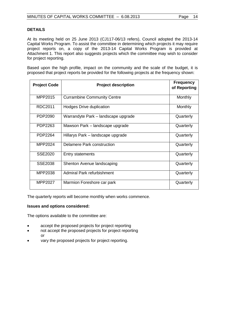## **DETAILS**

At its meeting held on 25 June 2013 (CJ117-06/13 refers), Council adopted the 2013-14 Capital Works Program. To assist the committee in determining which projects it may require project reports on, a copy of the 2013-14 Capital Works Program is provided at Attachment 1. This report also suggests projects which the committee may wish to consider for project reporting.

Based upon the high profile, impact on the community and the scale of the budget, it is proposed that project reports be provided for the following projects at the frequency shown:

| <b>Project Code</b> | <b>Project description</b>          | <b>Frequency</b><br>of Reporting |
|---------------------|-------------------------------------|----------------------------------|
|                     |                                     |                                  |
| MPP2015             | <b>Currambine Community Centre</b>  | Monthly                          |
| RDC2011             | <b>Hodges Drive duplication</b>     | Monthly                          |
| PDP2090             | Warrandyte Park – landscape upgrade | Quarterly                        |
| PDP2263             | Mawson Park – landscape upgrade     | Quarterly                        |
| PDP2264             | Hillarys Park - landscape upgrade   | Quarterly                        |
| MPP2024             | Delamere Park construction          | Quarterly                        |
| SSE2020             | <b>Entry statements</b>             | Quarterly                        |
| <b>SSE2038</b>      | Shenton Avenue landscaping          | Quarterly                        |
| MPP2038             | Admiral Park refurbishment          | Quarterly                        |
| MPP2027             | Marmion Foreshore car park          | Quarterly                        |

The quarterly reports will become monthly when works commence.

## **Issues and options considered:**

The options available to the committee are:

- accept the proposed projects for project reporting
- not accept the proposed projects for project reporting or
- vary the proposed projects for project reporting.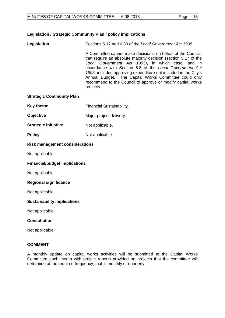## **Legislation / Strategic Community Plan / policy implications**

**Legislation** Sections 5.17 and 6.80 of the *Local Government Act 1995.* 

A Committee cannot make decisions, on behalf of the Council, that require an absolute majority decision (section 5.17 of the *Local Government Act 1995)*, in which case, and in accordance with Section 6.8 of the *Local Government Act 1995,* includes approving expenditure not included in the City's Annual Budget. The Capital Works Committee could only recommend to the Council to approve or modify capital works projects.

## **Strategic Community Plan**

- **Key theme** Financial Sustainability.
- **Objective** Major project delivery.
- **Strategic initiative** Not applicable.
- **Policy** Not applicable.

## **Risk management considerations**

Not applicable.

## **Financial/budget implications**

Not applicable.

## **Regional significance**

Not applicable.

## **Sustainability implications**

Not applicable.

#### **Consultation**

Not applicable.

## **COMMENT**

A monthly update on capital works activities will be submitted to the Capital Works Committee each month with project reports provided on projects that the committee will determine at the required frequency; that is monthly or quarterly.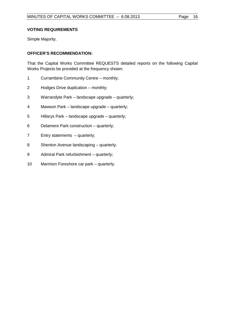## **VOTING REQUIREMENTS**

Simple Majority.

## **OFFICER'S RECOMMENDATION:**

That the Capital Works Committee REQUESTS detailed reports on the following Capital Works Projects be provided at the frequency shown:

- Currambine Community Centre monthly;
- Hodges Drive duplication monthly;
- Warrandyte Park landscape upgrade quarterly;
- Mawson Park landscape upgrade quarterly;
- Hillarys Park landscape upgrade quarterly;
- Delamere Park construction quarterly;
- Entry statements quarterly;
- Shenton Avenue landscaping quarterly;
- Admiral Park refurbishment quarterly;
- Marmion Foreshore car park quarterly.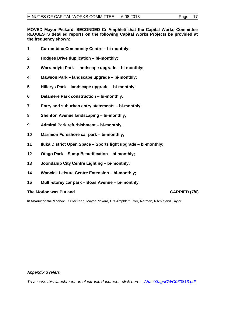**MOVED Mayor Pickard, SECONDED Cr Amphlett that the Capital Works Committee REQUESTS detailed reports on the following Capital Works Projects be provided at the frequency shown:**

- **Currambine Community Centre – bi-monthly;**
- **Hodges Drive duplication – bi-monthly;**
- **Warrandyte Park – landscape upgrade – bi-monthly;**
- **Mawson Park – landscape upgrade – bi-monthly;**
- **Hillarys Park – landscape upgrade – bi-monthly;**
- **Delamere Park construction – bi-monthly;**
- **Entry and suburban entry statements – bi-monthly;**
- **Shenton Avenue landscaping – bi-monthly;**
- **Admiral Park refurbishment – bi-monthly;**
- **Marmion Foreshore car park – bi-monthly;**
- **Iluka District Open Space – Sports light upgrade – bi-monthly;**
- **Otago Park – Sump Beautification – bi-monthly;**
- **Joondalup City Centre Lighting – bi-monthly;**
- **Warwick Leisure Centre Extension – bi-monthly;**
- **Multi-storey car park – Boas Avenue – bi-monthly.**

## **The Motion was Put and CARRIED (7/0)**

**In favour of the Motion:** Cr McLean, Mayor Pickard, Crs Amphlett, Corr, Norman, Ritchie and Taylor.

*Appendix 3 refers*

*[To access this attachment on electronic document, click here: Attach3agnCWC060813.pdf](http://www.joondalup.wa.gov.au/files/committees/CWOC/2013/Attach3agnCWC060813.pdf)*